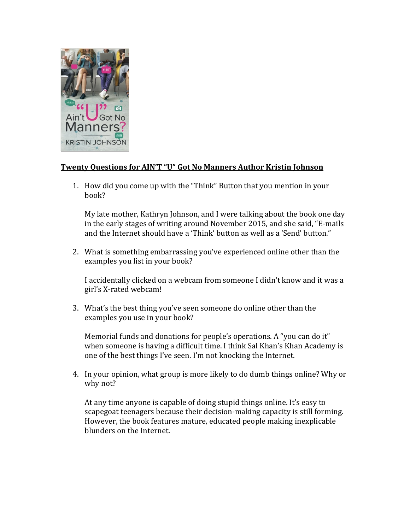

## **Twenty Questions for AIN'T "U" Got No Manners Author Kristin Johnson**

1. How did you come up with the "Think" Button that you mention in your book?

My late mother, Kathryn Johnson, and I were talking about the book one day in the early stages of writing around November 2015, and she said, "E-mails and the Internet should have a 'Think' button as well as a 'Send' button."

2. What is something embarrassing you've experienced online other than the examples you list in your book?

I accidentally clicked on a webcam from someone I didn't know and it was a girl's X-rated webcam! 

3. What's the best thing you've seen someone do online other than the examples you use in your book?

Memorial funds and donations for people's operations. A "you can do it" when someone is having a difficult time. I think Sal Khan's Khan Academy is one of the best things I've seen. I'm not knocking the Internet.

4. In your opinion, what group is more likely to do dumb things online? Why or why not?

At any time anyone is capable of doing stupid things online. It's easy to scapegoat teenagers because their decision-making capacity is still forming. However, the book features mature, educated people making inexplicable blunders on the Internet.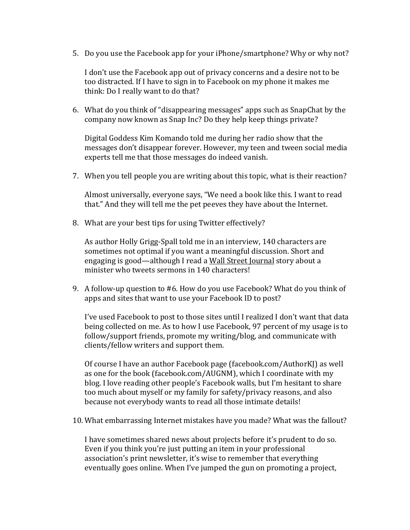5. Do you use the Facebook app for your iPhone/smartphone? Why or why not?

I don't use the Facebook app out of privacy concerns and a desire not to be too distracted. If I have to sign in to Facebook on my phone it makes me think: Do I really want to do that?

6. What do you think of "disappearing messages" apps such as SnapChat by the company now known as Snap Inc? Do they help keep things private?

Digital Goddess Kim Komando told me during her radio show that the messages don't disappear forever. However, my teen and tween social media experts tell me that those messages do indeed vanish.

7. When you tell people you are writing about this topic, what is their reaction?

Almost universally, everyone says, "We need a book like this. I want to read that." And they will tell me the pet peeves they have about the Internet.

8. What are your best tips for using Twitter effectively?

As author Holly Grigg-Spall told me in an interview, 140 characters are sometimes not optimal if you want a meaningful discussion. Short and engaging is good—although I read a Wall Street Journal story about a minister who tweets sermons in 140 characters!

9. A follow-up question to #6. How do you use Facebook? What do you think of apps and sites that want to use your Facebook ID to post?

I've used Facebook to post to those sites until I realized I don't want that data being collected on me. As to how I use Facebook, 97 percent of my usage is to follow/support friends, promote my writing/blog, and communicate with clients/fellow writers and support them.

Of course I have an author Facebook page (facebook.com/AuthorKJ) as well as one for the book (facebook.com/AUGNM), which I coordinate with my blog. I love reading other people's Facebook walls, but I'm hesitant to share too much about myself or my family for safety/privacy reasons, and also because not everybody wants to read all those intimate details!

10. What embarrassing Internet mistakes have you made? What was the fallout?

I have sometimes shared news about projects before it's prudent to do so. Even if you think you're just putting an item in your professional association's print newsletter, it's wise to remember that everything eventually goes online. When I've jumped the gun on promoting a project,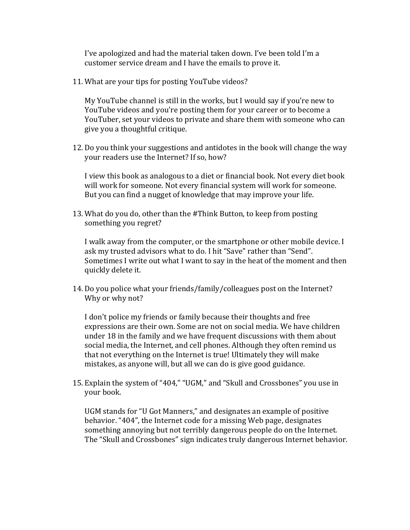I've apologized and had the material taken down. I've been told I'm a customer service dream and I have the emails to prove it.

11. What are your tips for posting YouTube videos?

My YouTube channel is still in the works, but I would say if you're new to YouTube videos and you're posting them for your career or to become a YouTuber, set your videos to private and share them with someone who can give you a thoughtful critique.

12. Do you think your suggestions and antidotes in the book will change the way your readers use the Internet? If so, how?

I view this book as analogous to a diet or financial book. Not every diet book will work for someone. Not every financial system will work for someone. But you can find a nugget of knowledge that may improve your life.

13. What do you do, other than the #Think Button, to keep from posting something you regret?

I walk away from the computer, or the smartphone or other mobile device. I ask my trusted advisors what to do. I hit "Save" rather than "Send". Sometimes I write out what I want to say in the heat of the moment and then quickly delete it.

14. Do you police what your friends/family/colleagues post on the Internet? Why or why not?

I don't police my friends or family because their thoughts and free expressions are their own. Some are not on social media. We have children under  $18$  in the family and we have frequent discussions with them about social media, the Internet, and cell phones. Although they often remind us that not everything on the Internet is true! Ultimately they will make mistakes, as anyone will, but all we can do is give good guidance.

15. Explain the system of "404," "UGM," and "Skull and Crossbones" you use in your book.

UGM stands for "U Got Manners," and designates an example of positive behavior. "404", the Internet code for a missing Web page, designates something annoying but not terribly dangerous people do on the Internet. The "Skull and Crossbones" sign indicates truly dangerous Internet behavior.